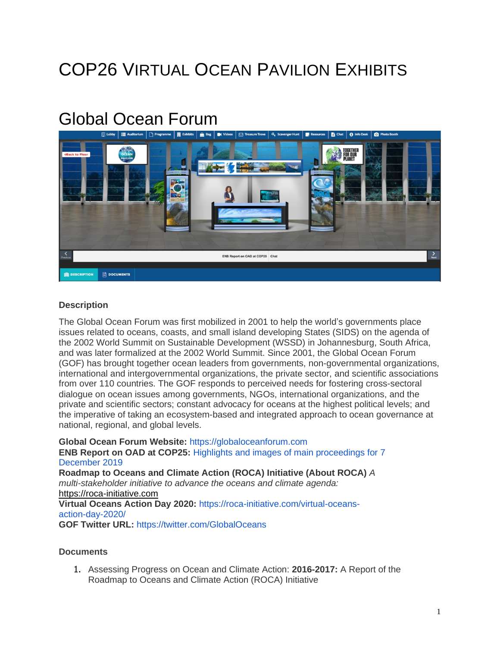## COP26 VIRTUAL OCEAN PAVILION EXHIBITS

## Global Ocean Forum



## **Description**

The Global Ocean Forum was first mobilized in 2001 to help the world's governments place issues related to oceans, coasts, and small island developing States (SIDS) on the agenda of the 2002 World Summit on Sustainable Development (WSSD) in Johannesburg, South Africa, and was later formalized at the 2002 World Summit. Since 2001, the Global Ocean Forum (GOF) has brought together ocean leaders from governments, non-governmental organizations, international and intergovernmental organizations, the private sector, and scientific associations from over 110 countries. The GOF responds to perceived needs for fostering cross-sectoral dialogue on ocean issues among governments, NGOs, international organizations, and the private and scientific sectors; constant advocacy for oceans at the highest political levels; and the imperative of taking an ecosystem-based and integrated approach to ocean governance at national, regional, and global levels.

**Global Ocean Forum Website:** [https://globaloceanforum.com](https://globaloceanforum.com/) **ENB Report on OAD at COP25:** Highlights and images of main [proceedings](https://enb.iisd.org/events/oceans-action-day-cop-25/highlights-and-images-main-proceedings-7-december-2019) for 7 [December](https://enb.iisd.org/events/oceans-action-day-cop-25/highlights-and-images-main-proceedings-7-december-2019) 2019 **Roadmap to Oceans and Climate Action (ROCA) Initiative (About ROCA)** *A multi-stakeholder initiative to advance the oceans and climate agenda:* [https://roca-initiative.com](https://roca-initiative.com/) **Virtual Oceans Action Day 2020:** [https://roca-initiative.com/virtual-oceans](https://roca-initiative.com/virtual-oceans-action-day-2020/)[action-day-2020/](https://roca-initiative.com/virtual-oceans-action-day-2020/) **GOF Twitter URL:** <https://twitter.com/GlobalOceans>

## **Documents**

1. Assessing Progress on Ocean and Climate Action: **2016-2017:** A Report of the Roadmap to Oceans and Climate Action (ROCA) Initiative